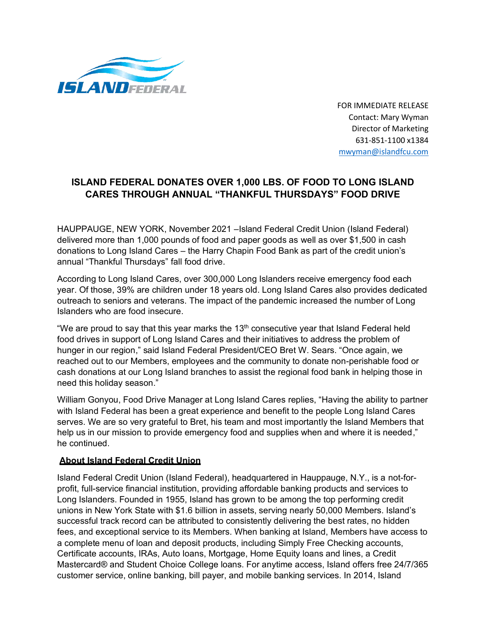

FOR IMMEDIATE RELEASE Contact: Mary Wyman Director of Marketing 631-851-1100 x1384 [mwyman@islandfcu.com](mailto:Ldunn@islandfcu.com)

## **ISLAND FEDERAL DONATES OVER 1,000 LBS. OF FOOD TO LONG ISLAND CARES THROUGH ANNUAL "THANKFUL THURSDAYS" FOOD DRIVE**

HAUPPAUGE, NEW YORK, November 2021 –Island Federal Credit Union (Island Federal) delivered more than 1,000 pounds of food and paper goods as well as over \$1,500 in cash donations to Long Island Cares – the Harry Chapin Food Bank as part of the credit union's annual "Thankful Thursdays" fall food drive.

According to Long Island Cares, over 300,000 Long Islanders receive emergency food each year. Of those, 39% are children under 18 years old. Long Island Cares also provides dedicated outreach to seniors and veterans. The impact of the pandemic increased the number of Long Islanders who are food insecure.

"We are proud to say that this year marks the  $13<sup>th</sup>$  consecutive year that Island Federal held food drives in support of Long Island Cares and their initiatives to address the problem of hunger in our region," said Island Federal President/CEO Bret W. Sears. "Once again, we reached out to our Members, employees and the community to donate non-perishable food or cash donations at our Long Island branches to assist the regional food bank in helping those in need this holiday season."

William Gonyou, Food Drive Manager at Long Island Cares replies, "Having the ability to partner with Island Federal has been a great experience and benefit to the people Long Island Cares serves. We are so very grateful to Bret, his team and most importantly the Island Members that help us in our mission to provide emergency food and supplies when and where it is needed," he continued.

## **About Island Federal Credit Union**

Island Federal Credit Union (Island Federal), headquartered in Hauppauge, N.Y., is a not-forprofit, full-service financial institution, providing affordable banking products and services to Long Islanders. Founded in 1955, Island has grown to be among the top performing credit unions in New York State with \$1.6 billion in assets, serving nearly 50,000 Members. Island's successful track record can be attributed to consistently delivering the best rates, no hidden fees, and exceptional service to its Members. When banking at Island, Members have access to a complete menu of loan and deposit products, including Simply Free Checking accounts, Certificate accounts, IRAs, Auto loans, Mortgage, Home Equity loans and lines, a Credit Mastercard® and Student Choice College loans. For anytime access, Island offers free 24/7/365 customer service, online banking, bill payer, and mobile banking services. In 2014, Island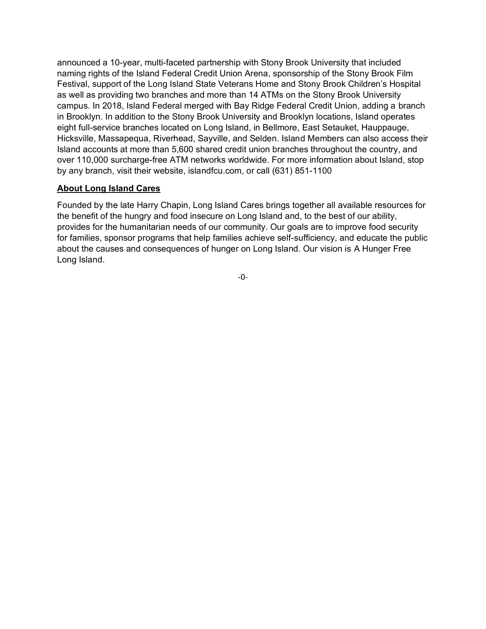announced a 10-year, multi-faceted partnership with Stony Brook University that included naming rights of the Island Federal Credit Union Arena, sponsorship of the Stony Brook Film Festival, support of the Long Island State Veterans Home and Stony Brook Children's Hospital as well as providing two branches and more than 14 ATMs on the Stony Brook University campus. In 2018, Island Federal merged with Bay Ridge Federal Credit Union, adding a branch in Brooklyn. In addition to the Stony Brook University and Brooklyn locations, Island operates eight full-service branches located on Long Island, in Bellmore, East Setauket, Hauppauge, Hicksville, Massapequa, Riverhead, Sayville, and Selden. Island Members can also access their Island accounts at more than 5,600 shared credit union branches throughout the country, and over 110,000 surcharge-free ATM networks worldwide. For more information about Island, stop by any branch, visit their website, islandfcu.com, or call (631) 851-1100

## **About Long Island Cares**

Founded by the late Harry Chapin, Long Island Cares brings together all available resources for the benefit of the hungry and food insecure on Long Island and, to the best of our ability, provides for the humanitarian needs of our community. Our goals are to improve food security for families, sponsor programs that help families achieve self-sufficiency, and educate the public about the causes and consequences of hunger on Long Island. Our vision is A Hunger Free Long Island.

-0-